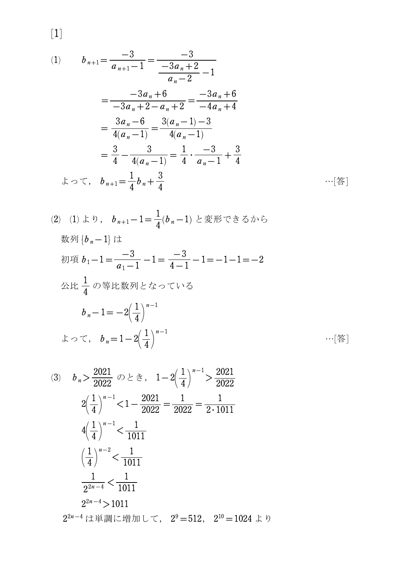$$
[1]
$$

(1) 
$$
b_{n+1} = \frac{-3}{a_{n+1} - 1} = \frac{-3}{-3a_n + 2} - 1
$$

$$
= \frac{-3a_n + 6}{-3a_n + 2 - a_n + 2} = \frac{-3a_n + 6}{-4a_n + 4}
$$

$$
= \frac{3a_n - 6}{4(a_n - 1)} = \frac{3(a_n - 1) - 3}{4(a_n - 1)}
$$

$$
= \frac{3}{4} - \frac{3}{4(a_n - 1)} = \frac{1}{4} \cdot \frac{-3}{a_n - 1} + \frac{3}{4}
$$

$$
\downarrow \circ \tau, \quad b_{n+1} = \frac{1}{4}b_n + \frac{3}{4} \qquad \qquad \cdots \quad \text{[2]} \qquad
$$

(2) (1) b, b<sub>n+1</sub>-1=
$$
\frac{1}{4}
$$
(b<sub>n</sub>-1)  $\&trsim$   $\&trsim$   $\circ$   $\circ$   $\circ$   $\circ$   $\circ$   $\circ$   $\circ$   $\circ$   $\circ$   $\circ$   $\circ$   $\circ$   $\circ$   $\circ$   $\circ$   $\circ$   $\circ$   $\circ$   $\circ$   $\circ$   $\circ$   $\circ$   $\circ$   $\circ$   $\circ$   $\circ$   $\circ$   $\circ$   $\circ$   $\circ$   $\circ$   $\circ$   $\circ$   $\circ$   $\circ$   $\circ$   $\circ$   $\circ$   $\circ$   $\circ$   $\circ$   $\circ$   $\circ$   $\circ$   $\circ$   $\circ$   $\circ$   $\circ$   $\circ$   $\circ$   $\circ$   $\circ$   $\circ$   $\circ$   $\circ$   $\circ$   $\circ$   $\circ$   $\circ$   $\circ$   $\circ$   $\circ$   $\circ$   $\circ$   $\circ$   $\circ$   $\circ$   $\circ$   $\circ$   $\circ$   $\circ$   $\circ$   $\circ$   $\circ$   $\circ$   $\circ$   $\circ$   $\circ$   $\circ$   $\circ$   $\circ$   $\circ$   $\circ$   $\circ$   $\circ$   $\circ$   $\circ$   $\circ$ 

(3) 
$$
b_n > \frac{2021}{2022} \quad \text{or} \quad b \geq \frac{1}{2} \quad , \quad 1 - 2\left(\frac{1}{4}\right)^{n-1} > \frac{2021}{2022}
$$
  
\n
$$
2\left(\frac{1}{4}\right)^{n-1} < 1 - \frac{2021}{2022} = \frac{1}{2022} = \frac{1}{2 \cdot 1011}
$$
  
\n
$$
4\left(\frac{1}{4}\right)^{n-1} < \frac{1}{1011}
$$
  
\n
$$
\left(\frac{1}{4}\right)^{n-2} < \frac{1}{1011}
$$
  
\n
$$
\frac{1}{2^{2n-4}} < \frac{1}{1011}
$$
  
\n
$$
2^{2n-4} > 1011
$$
  
\n
$$
2^{2n-4} \quad \text{if } \frac{1}{2} \quad \text{if } \frac{1}{2} \quad \text{if } \frac{1}{2} \quad \text{if } \frac{1}{2} \quad \text{if } \frac{1}{2} \quad \text{if } \frac{1}{2} \quad \text{if } \frac{1}{2} \quad \text{if } \frac{1}{2} \quad \text{if } \frac{1}{2} \quad \text{if } \frac{1}{2} \quad \text{if } \frac{1}{2} \quad \text{if } \frac{1}{2} \quad \text{if } \frac{1}{2} \quad \text{if } \frac{1}{2} \quad \text{if } \frac{1}{2} \quad \text{if } \frac{1}{2} \quad \text{if } \frac{1}{2} \quad \text{if } \frac{1}{2} \quad \text{if } \frac{1}{2} \quad \text{if } \frac{1}{2} \quad \text{if } \frac{1}{2} \quad \text{if } \frac{1}{2} \quad \text{if } \frac{1}{2} \quad \text{if } \frac{1}{2} \quad \text{if } \frac{1}{2} \quad \text{if } \frac{1}{2} \quad \text{if } \frac{1}{2} \quad \text{if } \frac{1}{2} \quad \text{if } \frac{1}{2} \quad \text{if } \frac{1}{2} \quad \text{if } \frac{1}{2} \quad \text{if } \frac{1}{2} \quad \text{if } \frac{1}{2
$$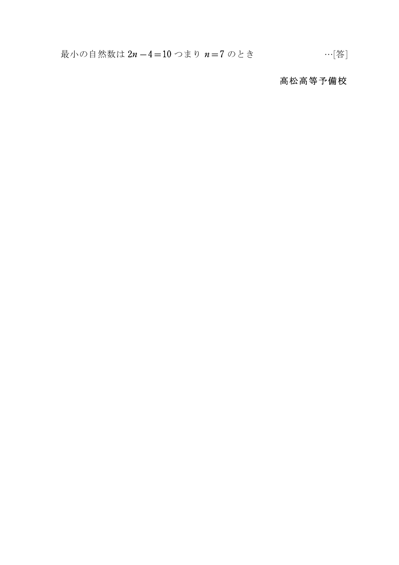## 高松高等予備校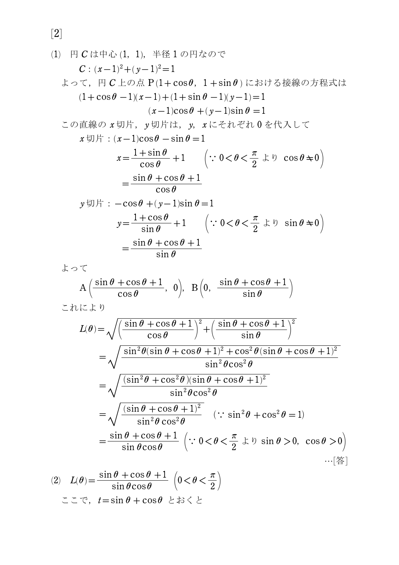[2]

(1) 円 C は中心 (1, 1), 半径 1 の円なので  $C: (x-1)^2 + (y-1)^2 = 1$  よって,円 *C* 上の点 P 01+cos*h*,1 +sin*h* 1 における接線の方程式は  $(1+\cos\theta -1)(x-1) + (1+\sin\theta -1)(y-1) = 1$  $(x-1)\cos\theta + (y-1)\sin\theta = 1$  この直線の *x* 切片,*y* 切片は,*y*,*x* にそれぞれ 0 を代入して  $x \boxplus \nvdash : (x-1)\cos \theta - \sin \theta = 1$  *x*=  $1 + \sin \theta$  $\frac{+\sin\theta}{\cos\theta}$  +1  $\left(\because 0 < \theta < \theta\right)$  $\bigg)$  $\frac{\pi}{2}$ より cos*h*'0  $=$  $\sin\theta + \cos\theta + 1$  $\overline{\cos \theta}$  $y \uplus \mathcal{F}: -\cos\theta + (y-1)\sin\theta = 1$  *y*=  $1 + \cos \theta$  $\frac{1+\cos\theta}{\sin\theta}+1$   $\left(\because 0<\theta<\theta\right)$  $\bigg)$  $\frac{\pi}{2}$ より sin*h*'0  $=$  $\sin \theta + \cos \theta + 1$ sin*h* よって  $A\left(\frac{\sin\theta + \cos\theta + 1}{\cos\theta}, 0\right), B\left(0, \frac{\sin\theta + \cos\theta + 1}{\sin\theta}\right)$ sin*h* これにより  $L(\boldsymbol{\theta}) \!=\! \sqrt{\! \sqrt{\! \int_{0}^{1}}% \sum_{n=1}^{L}% \sum_{n=1}^{L}% \sum_{n=1}^{L}% \sum_{n=1}^{L}% \sum_{n=1}^{L}% \sum_{n=1}^{L}% \sum_{n=1}^{L}% \sum_{n=1}^{L}% \sum_{n=1}^{L}% \sum_{n=1}^{L}% \sum_{n=1}^{L}% \sum_{n=1}^{L}% \sum_{n=1}^{L}% \sum_{n=1}^{L}% \sum_{n=1}^{L}% \sum_{n=1}^{L}% \sum_{n=1}^{L}% \sum_{n=1}^{L}% \sum_{n=1}^{L}% \sum$  $+$  $\left(\frac{\sin\theta+\cos\theta+1}{\cos\theta}\right)^2$  $\left(\frac{\sin\theta+\cos\theta+1}{\sin\theta}\right)^2$  $=\sqrt{\frac{\sin^2\theta(\sin\theta+\cos\theta+1)^2+\cos^2\theta(\sin\theta+\cos\theta+1)^2}{\sin^2\theta\cos^2\theta}}$  $\sin^2 \theta \cos^2 \theta$  $=\sqrt{\frac{(\sin^2\theta+\cos^2\theta)(\sin\theta+\cos\theta+1)^2}{\sin^2\theta\cos^2\theta}}$  $\sin^2 \theta \cos^2 \theta$  $=\sqrt{\frac{(\sin\theta+\cos\theta+1)^2}{\sin^2\theta\cos^2\theta}}$  $\sin^2 \theta \cos^2 \theta$  $(: \sin^2 \theta + \cos^2 \theta = 1)$  $=$  $\sin\theta$  +  $\cos\theta$  + 1  $\frac{\sin \theta + \cos \theta + 1}{\sin \theta \cos \theta}$   $\left(\because 0 < \theta < \theta\right)$  $\frac{\pi}{2}$ より sin*h*>0,cos*h* >0  $\bigg)$ …[答]

(2) 
$$
L(\theta) = \frac{\sin \theta + \cos \theta + 1}{\sin \theta \cos \theta} \left( 0 < \theta < \frac{\pi}{2} \right)
$$

$$
\sum \sum \infty, \quad t = \sin \theta + \cos \theta \quad \text{and} \quad \sum \sum \sum \infty
$$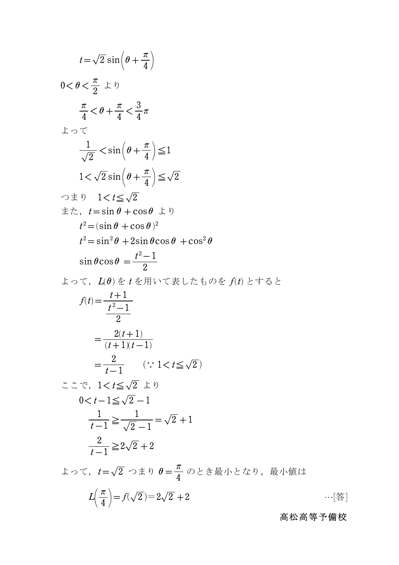$$
t = \sqrt{2} \sin\left(\theta + \frac{\pi}{4}\right)
$$
  
\n
$$
0 < \theta < \frac{\pi}{2} \pm \theta
$$
  
\n
$$
\frac{\pi}{4} < \theta + \frac{\pi}{4} < \frac{3}{4}\pi
$$
  
\n
$$
\pm \infty \pm \sqrt{2} \sin\left(\theta + \frac{\pi}{4}\right) \le 1
$$
  
\n
$$
1 < \sqrt{2} \sin\left(\theta + \frac{\pi}{4}\right) \le \sqrt{2}
$$
  
\n
$$
\Rightarrow \pm \theta \quad 1 < t \le \sqrt{2}
$$
  
\n
$$
\Rightarrow t = \sin \theta + \cos \theta \pm \theta
$$
  
\n
$$
t^2 = (\sin \theta + \cos \theta)^2
$$
  
\n
$$
t^2 = \sin^2 \theta + 2 \sin \theta \cos \theta + \cos^2 \theta
$$
  
\n
$$
\sin \theta \cos \theta = \frac{t^2 - 1}{2}
$$
  
\n
$$
\pm \infty \pm \sqrt{2}
$$
,  $L(\theta) \pm t \pm \sqrt{2}$ ,  $L(\theta) \pm \sqrt{2}$   
\n
$$
f(t) = \frac{t + 1}{t^2 - 1}
$$
  
\n
$$
= \frac{2(t + 1)}{2}
$$
  
\n
$$
= \frac{2(t + 1)}{(t + 1)(t - 1)}
$$
  
\n
$$
= \frac{2}{t - 1} \quad (\because 1 < t \le \sqrt{2})
$$
  
\n
$$
\pm \sqrt{2} \quad \pm \theta
$$
  
\n
$$
0 < t - 1 \le \sqrt{2} \quad \pm \theta
$$
  
\n
$$
0 < t - 1 \le \sqrt{2} - 1
$$
  
\n
$$
\frac{1}{t - 1} \ge \frac{1}{\sqrt{2} - 1} = \sqrt{2} + 1
$$
  
\n
$$
\frac{2}{t - 1} \ge 2\sqrt{2} + 2
$$
  
\n
$$
\pm \infty \pm \sqrt{2} \quad \pm \theta
$$
  
\n
$$
L(\frac{\pi}{4}) = f(\sqrt{2}) = 2\sqrt{2} + 2
$$

## 高松高等予備校

 $\cdots$ [答]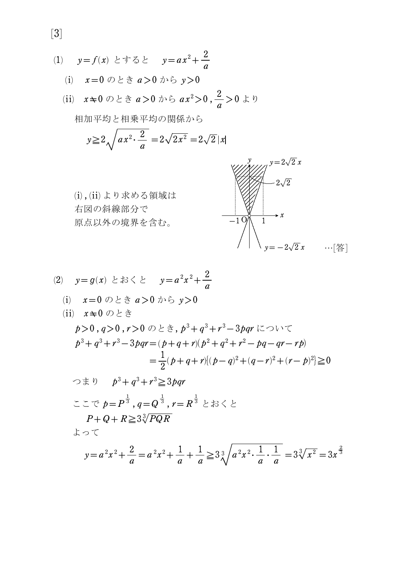(1) 
$$
y=f(x) \geq \pm 5 \geq y=ax^2 +
$$

- (i) *x*=0 のとき *a*>0 から *y*>0
- (ii) *<sup>x</sup>*'0 のとき *<sup>a</sup>*>0 から <sup>2</sup> *ax* >0 , <sup>2</sup> *a* >0 より 相加平均と相乗平均の関係から

2 *a*

$$
y \ge 2\sqrt{ax^2 \cdot \frac{2}{a}} = 2\sqrt{2x^2} = 2\sqrt{2}|x|
$$

 (i) , (ii) より求める領域は 右図の斜線部分で 原点以外の境界を含む。

*a*



(2)  $y=g(x) \leq x \leq \frac{1}{2}$   $y=a^2x^2+\frac{2}{x^2}$ *a* (i) *x*=0 のとき *a*>0 から *y*>0 (ii) *x*'0 のとき  $p\!>\!0$  ,  $q\!>\!0$  ,  $r\!>\!0$  のとき,  $p^3\!+q^3\!+r^3\!-\!3pqr$  について  $p^3 + q^3 + r^3 - 3pqr = (p + q + r)(p^2 + q^2 + r^2 - pq - qr - rp)$  $=\frac{1}{2}(p+q+r)[(p-q)^2+(q-r)^2+(r-p)^2]\geq$ 1 2  $(p+q+r)[(p-q)^2+(q-r)^2+(r-p)^2]\geq 0$ つまり  $p^3 + q^3 + r^3 \ge 3pqr$  ここで *p*=  $P^{\frac{1}{3}}$  ,  $q\!=\!Q^{\frac{1}{3}}$  ,  $r\!=\!R^{\frac{1}{3}}\stackrel{>}{{}}\subset\;$ おくと  $P+Q+R \geq 3\sqrt[3]{PQR}$  よって  $y = a^2 x^2 +$ 2  $= a^2x^2 +$ 1  $+$ 1  $\geq 3\frac{3}{4}$  $\sqrt[3]{}$  $a^2x^2 \cdot \frac{1}{x}$ . 1 1  $=3\sqrt[3]{x^2}=3$  $\chi^{\frac{2}{3}}$ 

*a*

*a*

*a*

*a*

[3]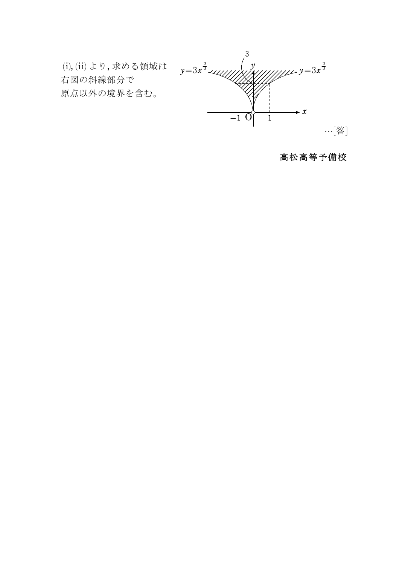

## 高松高等予備校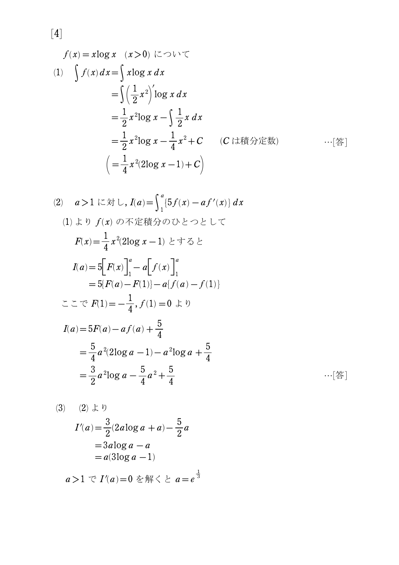$$
f(x) = x \log x \quad (x > 0) \quad (\subset \supset \cup \subset \subset
$$
  
(1) 
$$
\int f(x) dx = \int x \log x dx
$$

$$
= \int \left(\frac{1}{2}x^2\right)' \log x dx
$$

$$
= \frac{1}{2}x^2 \log x - \int \frac{1}{2}x dx
$$

$$
= \frac{1}{2}x^2 \log x - \frac{1}{4}x^2 + C \quad (C \text{ if } (\infty) \text{ if } \infty \text{ if } \infty \text{ if } \infty \text{ if } \infty \text{ if } \infty \text{ if } \infty \text{ if } \infty \text{ if } \infty \text{ if } \infty \text{ if } \infty \text{ if } \infty \text{ if } \infty \text{ if } \infty \text{ if } \infty \text{ if } \infty \text{ if } \infty \text{ if } \infty \text{ if } \infty \text{ if } \infty \text{ if } \infty \text{ if } \infty \text{ if } \infty \text{ if } \infty \text{ if } \infty \text{ if } \infty \text{ if } \infty \text{ if } \infty \text{ if } \infty \text{ if } \infty \text{ if } \infty \text{ if } \infty \text{ if } \infty \text{ if } \infty \text{ if } \infty \text{ if } \infty \text{ if } \infty \text{ if } \infty \text{ if } \infty \text{ if } \infty \text{ if } \infty \text{ if } \infty \text{ if } \infty \text{ if } \infty \text{ if } \infty \text{ if } \infty \text{ if } \infty \text{ if } \infty \text{ if } \infty \text{ if } \infty \text{ if } \infty \text{ if } \infty \text{ if } \infty \text{ if } \infty \text{ if } \infty \text{ if } \infty \text{ if } \infty \text{ if } \infty \text{ if } \infty \text{ if } \infty \text{ if } \infty \text{ if } \infty \text{ if } \infty \text{ if } \infty \text{ if } \infty \text{ if } \infty \text{ if } \infty \text{ if } \infty \text{ if } \infty \text{ if } \infty \text{ if } \infty \text{ if } \infty \text{ if } \infty \text{ if } \infty \text{ if } \infty
$$

(2) 
$$
a > 1
$$
  $l \in \pi$   $L$ ,  $I(a) = \int_{1}^{a} \{5f(x) - af'(x)\} dx$   
\n(1)  $\pm \sqrt{9} f(x) \text{ or } \pi$   $\pm \pi$   $\Rightarrow \theta > 0$   $\pm \sqrt{9} \pm \sqrt{9}$   
\n $F(x) = \frac{1}{4} x^{2} (2 \log x - 1) \pm \pi \sqrt{9} \pm \pi$   
\n $I(a) = 5 \Big[ F(x) \Big]_{1}^{a} - a \Big[ f(x) \Big]_{1}^{a}$   
\n $= 5 \{F(a) - F(1)\} - a \{f(a) - f(1)\}$   
\n $\pm \sqrt{9} F(1) = -\frac{1}{4}, f(1) = 0 \pm \sqrt{9}$   
\n $I(a) = 5F(a) - af(a) + \frac{5}{4}$   
\n $= \frac{5}{4} a^{2} (2 \log a - 1) - a^{2} \log a + \frac{5}{4}$   
\n $= \frac{3}{2} a^{2} \log a - \frac{5}{4} a^{2} + \frac{5}{4}$  ... [25]

 (3) (2) より = *I*-0 1 *a* - 3 2 0 1 2*a*log*a a* + 5 2 *a* = - 3*a*log*a a* =*a*0 1 3log*a* -1 *a*>1 で *I*-0 1 *a* =0 を解くと *a*= 1 3 *e*

 $[4] \centering% \includegraphics[width=1\textwidth]{figs/fig_4a} \caption{The 3D (blue) and 4D (blue) are the same as a function of the left (red) and the right (red) are the same as a function of the right (red) and the right (red) are the same as a function of the right (red). The right (red) is the same as a function of the right (red). The right (red) is the same as a function of the right (red). The right (red) is the same as a function of the right (red). The right (red) is the same as a function of the right (red). The right (red) is the same as a function of the right (red). The right (red) is the same as a function of the right (red). The right (red) is the same as a function of the right (red). The right (red) is the same as a$